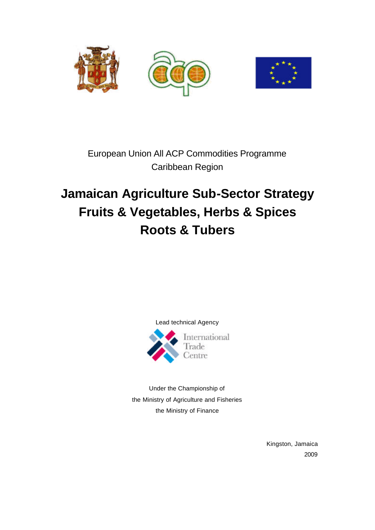



European Union All ACP Commodities Programme Caribbean Region

# **Jamaican Agriculture Sub-Sector Strategy Fruits & Vegetables, Herbs & Spices Roots & Tubers**



Under the Championship of the Ministry of Agriculture and Fisheries the Ministry of Finance

> Kingston, Jamaica 2009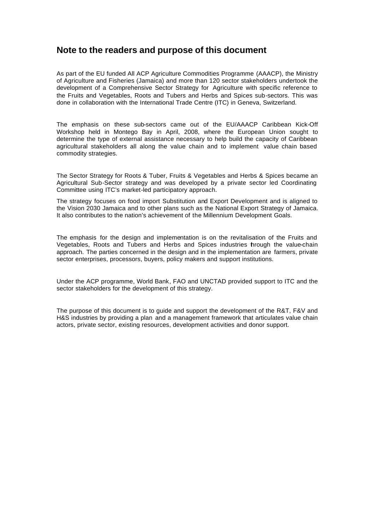### **Note to the readers and purpose of this document**

As part of the EU funded All ACP Agriculture Commodities Programme (AAACP), the Ministry of Agriculture and Fisheries (Jamaica) and more than 120 sector stakeholders undertook the development of a Comprehensive Sector Strategy for Agriculture with specific reference to the Fruits and Vegetables, Roots and Tubers and Herbs and Spices sub-sectors. This was done in collaboration with the International Trade Centre (ITC) in Geneva, Switzerland.

The emphasis on these sub-sectors came out of the EU/AAACP Caribbean Kick-Off Workshop held in Montego Bay in April, 2008, where the European Union sought to determine the type of external assistance necessary to help build the capacity of Caribbean agricultural stakeholders all along the value chain and to implement value chain based commodity strategies.

The Sector Strategy for Roots & Tuber, Fruits & Vegetables and Herbs & Spices became an Agricultural Sub-Sector strategy and was developed by a private sector led Coordinating Committee using ITC's market-led participatory approach.

The strategy focuses on food import Substitution and Export Development and is aligned to the Vision 2030 Jamaica and to other plans such as the National Export Strategy of Jamaica. It also contributes to the nation's achievement of the Millennium Development Goals.

The emphasis for the design and implementation is on the revitalisation of the Fruits and Vegetables, Roots and Tubers and Herbs and Spices industries through the value-chain approach. The parties concerned in the design and in the implementation are farmers, private sector enterprises, processors, buyers, policy makers and support institutions.

Under the ACP programme, World Bank, FAO and UNCTAD provided support to ITC and the sector stakeholders for the development of this strategy.

The purpose of this document is to guide and support the development of the R&T, F&V and H&S industries by providing a plan and a management framework that articulates value chain actors, private sector, existing resources, development activities and donor support.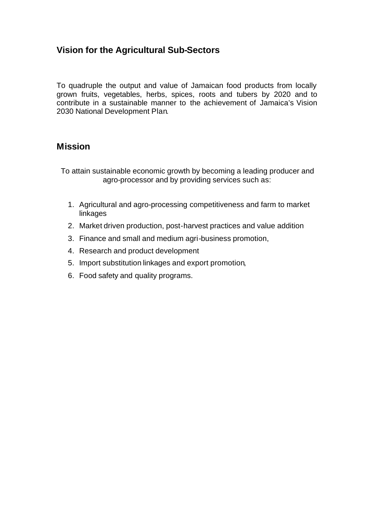### **Vision for the Agricultural Sub-Sectors**

To quadruple the output and value of Jamaican food products from locally grown fruits, vegetables, herbs, spices, roots and tubers by 2020 and to contribute in a sustainable manner to the achievement of Jamaica's Vision 2030 National Development Plan.

### **Mission**

To attain sustainable economic growth by becoming a leading producer and agro-processor and by providing services such as:

- 1. Agricultural and agro-processing competitiveness and farm to market linkages
- 2. Market driven production, post-harvest practices and value addition
- 3. Finance and small and medium agri-business promotion,
- 4. Research and product development
- 5. Import substitution linkages and export promotion,
- 6. Food safety and quality programs.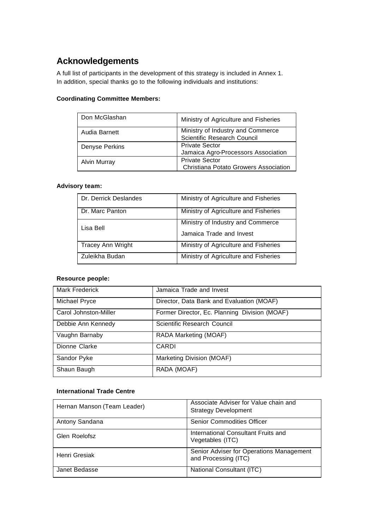## **Acknowledgements**

A full list of participants in the development of this strategy is included in Annex 1. In addition, special thanks go to the following individuals and institutions:

### **Coordinating Committee Members:**

| Don McGlashan       | Ministry of Agriculture and Fisheries |
|---------------------|---------------------------------------|
| Audia Barnett       | Ministry of Industry and Commerce     |
|                     | Scientific Research Council           |
| Denyse Perkins      | <b>Private Sector</b>                 |
|                     | Jamaica Agro-Processors Association   |
| <b>Alvin Murray</b> | <b>Private Sector</b>                 |
|                     | Christiana Potato Growers Association |

### **Advisory team:**

| Dr. Derrick Deslandes    | Ministry of Agriculture and Fisheries                         |
|--------------------------|---------------------------------------------------------------|
| Dr. Marc Panton          | Ministry of Agriculture and Fisheries                         |
| Lisa Bell                | Ministry of Industry and Commerce<br>Jamaica Trade and Invest |
| <b>Tracey Ann Wright</b> | Ministry of Agriculture and Fisheries                         |
| Zuleikha Budan           | Ministry of Agriculture and Fisheries                         |

### **Resource people:**

| Mark Frederick        | Jamaica Trade and Invest                      |
|-----------------------|-----------------------------------------------|
| Michael Pryce         | Director, Data Bank and Evaluation (MOAF)     |
| Carol Johnston-Miller | Former Director, Ec. Planning Division (MOAF) |
| Debbie Ann Kennedy    | Scientific Research Council                   |
| Vaughn Barnaby        | RADA Marketing (MOAF)                         |
| Dionne Clarke         | CARDI                                         |
| Sandor Pyke           | Marketing Division (MOAF)                     |
| Shaun Baugh           | RADA (MOAF)                                   |

### **International Trade Centre**

| Hernan Manson (Team Leader) | Associate Adviser for Value chain and<br><b>Strategy Development</b> |
|-----------------------------|----------------------------------------------------------------------|
| Antony Sandana              | Senior Commodities Officer                                           |
| Glen Roelofsz               | International Consultant Fruits and<br>Vegetables (ITC)              |
| Henri Gresiak               | Senior Adviser for Operations Management<br>and Processing (ITC)     |
| Janet Bedasse               | National Consultant (ITC)                                            |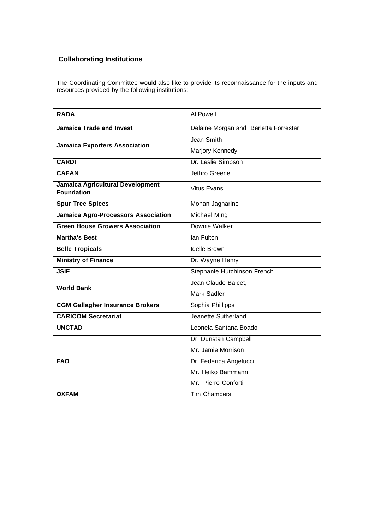### **Collaborating Institutions**

The Coordinating Committee would also like to provide its reconnaissance for the inputs and resources provided by the following institutions:

| <b>RADA</b>                                           | Al Powell                             |
|-------------------------------------------------------|---------------------------------------|
| <b>Jamaica Trade and Invest</b>                       | Delaine Morgan and Berletta Forrester |
| <b>Jamaica Exporters Association</b>                  | Jean Smith                            |
|                                                       | Marjory Kennedy                       |
| <b>CARDI</b>                                          | Dr. Leslie Simpson                    |
| <b>CAFAN</b>                                          | Jethro Greene                         |
| Jamaica Agricultural Development<br><b>Foundation</b> | <b>Vitus Evans</b>                    |
| <b>Spur Tree Spices</b>                               | Mohan Jagnarine                       |
| Jamaica Agro-Processors Association                   | Michael Ming                          |
| <b>Green House Growers Association</b>                | Downie Walker                         |
| <b>Martha's Best</b>                                  | Ian Fulton                            |
| <b>Belle Tropicals</b>                                | <b>Idelle Brown</b>                   |
| <b>Ministry of Finance</b>                            | Dr. Wayne Henry                       |
| <b>JSIF</b>                                           | Stephanie Hutchinson French           |
| <b>World Bank</b>                                     | Jean Claude Balcet,                   |
|                                                       | Mark Sadler                           |
| <b>CGM Gallagher Insurance Brokers</b>                | Sophia Phillipps                      |
| <b>CARICOM Secretariat</b>                            | Jeanette Sutherland                   |
| <b>UNCTAD</b>                                         | Leonela Santana Boado                 |
| <b>FAO</b>                                            | Dr. Dunstan Campbell                  |
|                                                       | Mr. Jamie Morrison                    |
|                                                       | Dr. Federica Angelucci                |
|                                                       | Mr. Heiko Bammann                     |
|                                                       | Mr. Pierro Conforti                   |
| <b>OXFAM</b>                                          | <b>Tim Chambers</b>                   |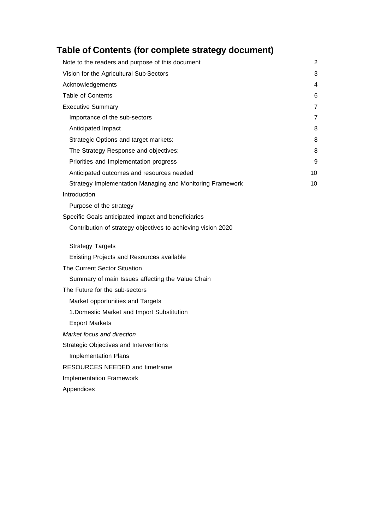# **Table of Contents (for complete strategy document)**

| Note to the readers and purpose of this document             | 2  |
|--------------------------------------------------------------|----|
| Vision for the Agricultural Sub-Sectors                      | 3  |
| Acknowledgements                                             | 4  |
| <b>Table of Contents</b>                                     | 6  |
| <b>Executive Summary</b>                                     | 7  |
| Importance of the sub-sectors                                | 7  |
| Anticipated Impact                                           | 8  |
| Strategic Options and target markets:                        | 8  |
| The Strategy Response and objectives:                        | 8  |
| Priorities and Implementation progress                       | 9  |
| Anticipated outcomes and resources needed                    | 10 |
| Strategy Implementation Managing and Monitoring Framework    | 10 |
| Introduction                                                 |    |
| Purpose of the strategy                                      |    |
| Specific Goals anticipated impact and beneficiaries          |    |
| Contribution of strategy objectives to achieving vision 2020 |    |
| <b>Strategy Targets</b>                                      |    |
| Existing Projects and Resources available                    |    |
| <b>The Current Sector Situation</b>                          |    |
| Summary of main Issues affecting the Value Chain             |    |
| The Future for the sub-sectors                               |    |
| Market opportunities and Targets                             |    |
| 1. Domestic Market and Import Substitution                   |    |
| <b>Export Markets</b>                                        |    |
| Market focus and direction                                   |    |
| Strategic Objectives and Interventions                       |    |
| <b>Implementation Plans</b>                                  |    |
| RESOURCES NEEDED and timeframe                               |    |
| <b>Implementation Framework</b>                              |    |

Appendices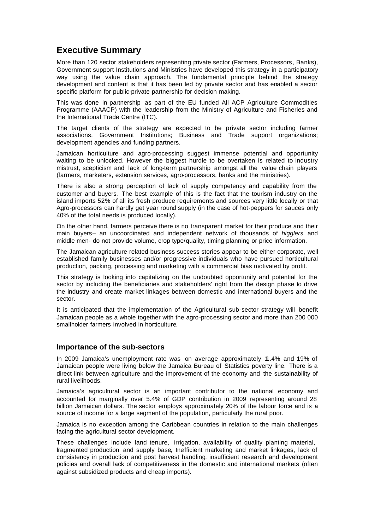### **Executive Summary**

More than 120 sector stakeholders representing private sector (Farmers, Processors, Banks), Government support Institutions and Ministries have developed this strategy in a participatory way using the value chain approach. The fundamental principle behind the strategy development and content is that it has been led by private sector and has enabled a sector specific platform for public-private partnership for decision making.

This was done in partnership as part of the EU funded All ACP Agriculture Commodities Programme (AAACP) with the leadership from the Ministry of Agriculture and Fisheries and the International Trade Centre (ITC).

The target clients of the strategy are expected to be private sector including farmer associations, Government Institutions; Business and Trade support organizations; development agencies and funding partners.

Jamaican horticulture and agro-processing suggest immense potential and opportunity waiting to be unlocked. However the biggest hurdle to be overtaken is related to industry mistrust, scepticism and lack of long-term partnership amongst all the value chain players (farmers, marketers, extension services, agro-processors, banks and the ministries).

There is also a strong perception of lack of supply competency and capability from the customer and buyers. The best example of this is the fact that the tourism industry on the island imports 52% of all its fresh produce requirements and sources very little locally or that Agro-processors can hardly get year round supply (in the case of hot-peppers for sauces only 40% of the total needs is produced locally).

On the other hand, farmers perceive there is no transparent market for their produce and their main buyers– an uncoordinated and independent network of thousands of *higglers* and middle men- do not provide volume, crop type/quality, timing planning or price information.

The Jamaican agriculture related business success stories appear to be either corporate, well established family businesses and/or progressive individuals who have pursued horticultural production, packing, processing and marketing with a commercial bias motivated by profit.

This strategy is looking into capitalizing on the undoubted opportunity and potential for the sector by including the beneficiaries and stakeholders' right from the design phase to drive the industry and create market linkages between domestic and international buyers and the sector.

It is anticipated that the implementation of the Agricultural sub-sector strategy will benefit Jamaican people as a whole together with the agro-processing sector and more than 200 000 smallholder farmers involved in horticulture.

### **Importance of the sub-sectors**

In 2009 Jamaica's unemployment rate was on average approximately 11.4% and 19% of Jamaican people were living below the Jamaica Bureau of Statistics poverty line. There is a direct link between agriculture and the improvement of the economy and the sustainability of rural livelihoods.

Jamaica's agricultural sector is an important contributor to the national economy and accounted for marginally over 5.4% of GDP contribution in 2009 representing around 28 billion Jamaican dollars. The sector employs approximately 20% of the labour force and is a source of income for a large segment of the population, particularly the rural poor.

Jamaica is no exception among the Caribbean countries in relation to the main challenges facing the agricultural sector development.

These challenges include land tenure, irrigation, availability of quality planting material, fragmented production and supply base, Inefficient marketing and market linkages, lack of consistency in production and post harvest handling, insufficient research and development policies and overall lack of competitiveness in the domestic and international markets (often against subsidized products and cheap imports).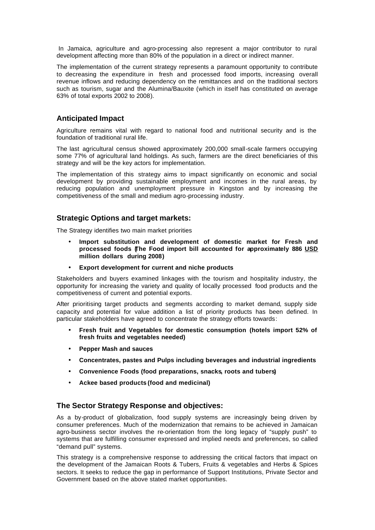In Jamaica, agriculture and agro-processing also represent a major contributor to rural development affecting more than 80% of the population in a direct or indirect manner.

The implementation of the current strategy represents a paramount opportunity to contribute to decreasing the expenditure in fresh and processed food imports, increasing overall revenue inflows and reducing dependency on the remittances and on the traditional sectors such as tourism, sugar and the Alumina/Bauxite (which in itself has constituted on average 63% of total exports 2002 to 2008).

### **Anticipated Impact**

Agriculture remains vital with regard to national food and nutritional security and is the foundation of traditional rural life.

The last agricultural census showed approximately 200,000 small-scale farmers occupying some 77% of agricultural land holdings. As such, farmers are the direct beneficiaries of this strategy and will be the key actors for implementation.

The implementation of this strategy aims to impact significantly on economic and social development by providing sustainable employment and incomes in the rural areas, by reducing population and unemployment pressure in Kingston and by increasing the competitiveness of the small and medium agro-processing industry.

### **Strategic Options and target markets:**

The Strategy identifies two main market priorities

- **Import substitution and development of domestic market for Fresh and processed foods (The Food import bill accounted for approximately 886 USD million dollars during 2008)**
- **Export development for current and niche products**

Stakeholders and buyers examined linkages with the tourism and hospitality industry, the opportunity for increasing the variety and quality of locally processed food products and the competitiveness of current and potential exports.

After prioritising target products and segments according to market demand, supply side capacity and potential for value addition a list of priority products has been defined. In particular stakeholders have agreed to concentrate the strategy efforts towards:

- **Fresh fruit and Vegetables for domestic consumption (hotels import 52% of fresh fruits and vegetables needed)**
- **Pepper Mash and sauces**
- **Concentrates, pastes and Pulps including beverages and industrial ingredients**
- **Convenience Foods (food preparations, snacks, roots and tubers)**
- **Ackee based products (food and medicinal)**

### **The Sector Strategy Response and objectives:**

As a by-product of globalization, food supply systems are increasingly being driven by consumer preferences. Much of the modernization that remains to be achieved in Jamaican agro-business sector involves the re-orientation from the long legacy of "supply push" to systems that are fulfilling consumer expressed and implied needs and preferences, so called "demand pull" systems.

This strategy is a comprehensive response to addressing the critical factors that impact on the development of the Jamaican Roots & Tubers, Fruits & vegetables and Herbs & Spices sectors. It seeks to reduce the gap in performance of Support Institutions, Private Sector and Government based on the above stated market opportunities.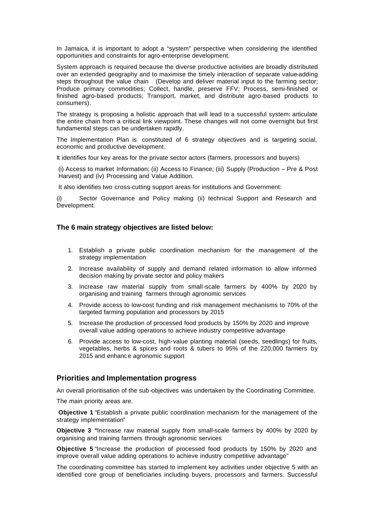In Jamaica, it is important to adopt a "system" perspective when considering the identified opportunities and constraints for agro-enterprise development.

System approach is required because the diverse productive activities are broadly distributed over an extended geography and to maximise the timely interaction of separate value-adding steps throughout the value chain (Develop and deliver material input to the farming sector; Produce primary commodities; Collect, handle, preserve FFV; Process, semi-finished or finished agro-based products; Transport, market, and distribute agro-based products to consumers).

The strategy is proposing a holistic approach that will lead to a successful system: articulate the entire chain from a critical link viewpoint. These changes will not come overnight but first fundamental steps can be undertaken rapidly.

The Implementation Plan is constituted of 6 strategy objectives and is targeting social, economic and productive development.

It identifies four key areas for the private sector actors (farmers, processors and buyers)

(i) Access to market Information; (ii) Access to Finance; (iii) Supply (Production – Pre & Post Harvest) and (iv) Processing and Value Addition.

It also identifies two cross-cutting support areas for institutions and Government:

(i) Sector Governance and Policy making (ii) technical Support and Research and Development.

#### **The 6 main strategy objectives are listed below:**

- 1. Establish a private public coordination mechanism for the management of the strategy implementation
- 2. Increase availability of supply and demand related information to allow informed decision making by private sector and policy makers
- 3. Increase raw material supply from small-scale farmers by 400% by 2020 by organising and training farmers through agronomic services
- 4. Provide access to low-cost funding and risk management mechanisms to 70% of the targeted farming population and processors by 2015
- 5. Increase the production of processed food products by 150% by 2020 and improve overall value adding operations to achieve industry competitive advantage
- 6. Provide access to low-cost, high-value planting material (seeds, seedlings) for fruits, vegetables, herbs & spices and roots & tubers to 95% of the 220,000 farmers by 2015 and enhanc e agronomic support

#### **Priorities and Implementation progress**

An overall prioritisation of the sub-objectives was undertaken by the Coordinating Committee.

The main priority areas are.

**Objective 1** "Establish a private public coordination mechanism for the management of the strategy implementation"

**Objective 3 "**Increase raw material supply from small-scale farmers by 400% by 2020 by organising and training farmers through agronomic services

**Objective 5** "Increase the production of processed food products by 150% by 2020 and improve overall value adding operations to achieve industry competitive advantage"

The coordinating committee has started to implement key activities under objective 5 with an identified core group of beneficiaries including buyers, processors and farmers. Successful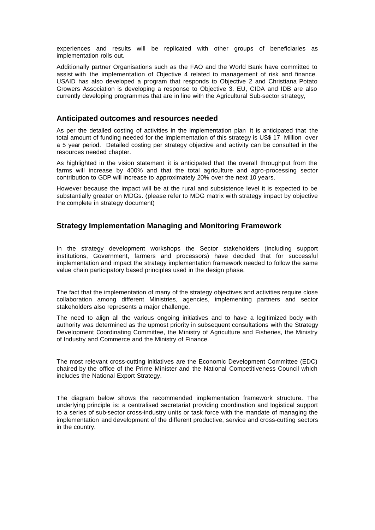experiences and results will be replicated with other groups of beneficiaries as implementation rolls out.

Additionally partner Organisations such as the FAO and the World Bank have committed to assist with the implementation of Objective 4 related to management of risk and finance. USAID has also developed a program that responds to Objective 2 and Christiana Potato Growers Association is developing a response to Objective 3. EU, CIDA and IDB are also currently developing programmes that are in line with the Agricultural Sub-sector strategy,

#### **Anticipated outcomes and resources needed**

As per the detailed costing of activities in the implementation plan it is anticipated that the total amount of funding needed for the implementation of this strategy is US\$ 17 Million over a 5 year period. Detailed costing per strategy objective and activity can be consulted in the resources needed chapter.

As highlighted in the vision statement it is anticipated that the overall throughput from the farms will increase by 400% and that the total agriculture and agro-processing sector contribution to GDP will increase to approximately 20% over the next 10 years.

However because the impact will be at the rural and subsistence level it is expected to be substantially greater on MDGs. (please refer to MDG matrix with strategy impact by objective the complete in strategy document)

### **Strategy Implementation Managing and Monitoring Framework**

In the strategy development workshops the Sector stakeholders (including support institutions, Government, farmers and processors) have decided that for successful implementation and impact the strategy implementation framework needed to follow the same value chain participatory based principles used in the design phase.

The fact that the implementation of many of the strategy objectives and activities require close collaboration among different Ministries, agencies, implementing partners and sector stakeholders also represents a major challenge.

The need to align all the various ongoing initiatives and to have a legitimized body with authority was determined as the upmost priority in subsequent consultations with the Strategy Development Coordinating Committee, the Ministry of Agriculture and Fisheries, the Ministry of Industry and Commerce and the Ministry of Finance.

The most relevant cross-cutting initiatives are the Economic Development Committee (EDC) chaired by the office of the Prime Minister and the National Competitiveness Council which includes the National Export Strategy.

The diagram below shows the recommended implementation framework structure. The underlying principle is: a centralised secretariat providing coordination and logistical support to a series of sub-sector cross-industry units or task force with the mandate of managing the implementation and development of the different productive, service and cross-cutting sectors in the country.